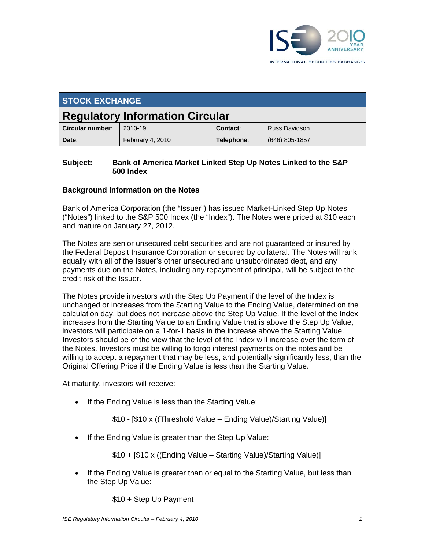

| <b>STOCK EXCHANGE</b>                  |                  |            |                      |
|----------------------------------------|------------------|------------|----------------------|
| <b>Regulatory Information Circular</b> |                  |            |                      |
| Circular number:                       | 2010-19          | Contact:   | <b>Russ Davidson</b> |
| Date:                                  | February 4, 2010 | Telephone: | $(646)$ 805-1857     |

## **Subject: Bank of America Market Linked Step Up Notes Linked to the S&P 500 Index**

## **Background Information on the Notes**

Bank of America Corporation (the "Issuer") has issued Market-Linked Step Up Notes ("Notes") linked to the S&P 500 Index (the "Index"). The Notes were priced at \$10 each and mature on January 27, 2012.

The Notes are senior unsecured debt securities and are not guaranteed or insured by the Federal Deposit Insurance Corporation or secured by collateral. The Notes will rank equally with all of the Issuer's other unsecured and unsubordinated debt, and any payments due on the Notes, including any repayment of principal, will be subject to the credit risk of the Issuer.

The Notes provide investors with the Step Up Payment if the level of the Index is unchanged or increases from the Starting Value to the Ending Value, determined on the calculation day, but does not increase above the Step Up Value. If the level of the Index increases from the Starting Value to an Ending Value that is above the Step Up Value, investors will participate on a 1-for-1 basis in the increase above the Starting Value. Investors should be of the view that the level of the Index will increase over the term of the Notes. Investors must be willing to forgo interest payments on the notes and be willing to accept a repayment that may be less, and potentially significantly less, than the Original Offering Price if the Ending Value is less than the Starting Value.

At maturity, investors will receive:

• If the Ending Value is less than the Starting Value:

\$10 - [\$10 x ((Threshold Value – Ending Value)/Starting Value)]

• If the Ending Value is greater than the Step Up Value:

\$10 + [\$10 x ((Ending Value – Starting Value)/Starting Value)]

• If the Ending Value is greater than or equal to the Starting Value, but less than the Step Up Value:

\$10 + Step Up Payment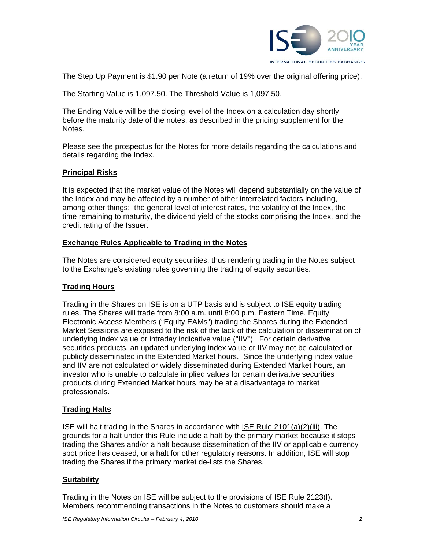

The Step Up Payment is \$1.90 per Note (a return of 19% over the original offering price).

The Starting Value is 1,097.50. The Threshold Value is 1,097.50.

The Ending Value will be the closing level of the Index on a calculation day shortly before the maturity date of the notes, as described in the pricing supplement for the Notes.

Please see the prospectus for the Notes for more details regarding the calculations and details regarding the Index.

## **Principal Risks**

It is expected that the market value of the Notes will depend substantially on the value of the Index and may be affected by a number of other interrelated factors including, among other things: the general level of interest rates, the volatility of the Index, the time remaining to maturity, the dividend yield of the stocks comprising the Index, and the credit rating of the Issuer.

## **Exchange Rules Applicable to Trading in the Notes**

The Notes are considered equity securities, thus rendering trading in the Notes subject to the Exchange's existing rules governing the trading of equity securities.

# **Trading Hours**

Trading in the Shares on ISE is on a UTP basis and is subject to ISE equity trading rules. The Shares will trade from 8:00 a.m. until 8:00 p.m. Eastern Time. Equity Electronic Access Members ("Equity EAMs") trading the Shares during the Extended Market Sessions are exposed to the risk of the lack of the calculation or dissemination of underlying index value or intraday indicative value ("IIV"). For certain derivative securities products, an updated underlying index value or IIV may not be calculated or publicly disseminated in the Extended Market hours. Since the underlying index value and IIV are not calculated or widely disseminated during Extended Market hours, an investor who is unable to calculate implied values for certain derivative securities products during Extended Market hours may be at a disadvantage to market professionals.

# **Trading Halts**

ISE will halt trading in the Shares in accordance with ISE Rule 2101(a)(2)(iii). The grounds for a halt under this Rule include a halt by the primary market because it stops trading the Shares and/or a halt because dissemination of the IIV or applicable currency spot price has ceased, or a halt for other regulatory reasons. In addition, ISE will stop trading the Shares if the primary market de-lists the Shares.

#### **Suitability**

Trading in the Notes on ISE will be subject to the provisions of ISE Rule 2123(l). Members recommending transactions in the Notes to customers should make a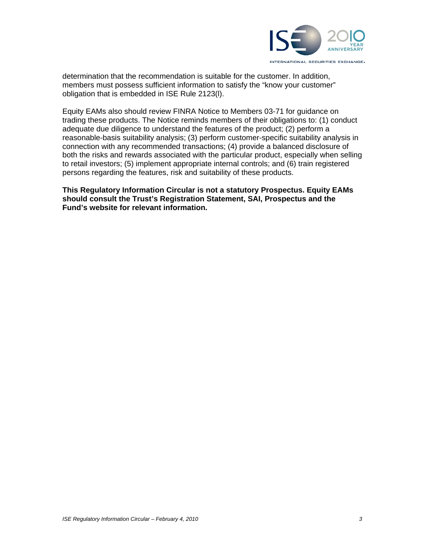

determination that the recommendation is suitable for the customer. In addition, members must possess sufficient information to satisfy the "know your customer" obligation that is embedded in ISE Rule 2123(l).

Equity EAMs also should review FINRA Notice to Members 03-71 for guidance on trading these products. The Notice reminds members of their obligations to: (1) conduct adequate due diligence to understand the features of the product; (2) perform a reasonable-basis suitability analysis; (3) perform customer-specific suitability analysis in connection with any recommended transactions; (4) provide a balanced disclosure of both the risks and rewards associated with the particular product, especially when selling to retail investors; (5) implement appropriate internal controls; and (6) train registered persons regarding the features, risk and suitability of these products.

**This Regulatory Information Circular is not a statutory Prospectus. Equity EAMs should consult the Trust's Registration Statement, SAI, Prospectus and the Fund's website for relevant information.**